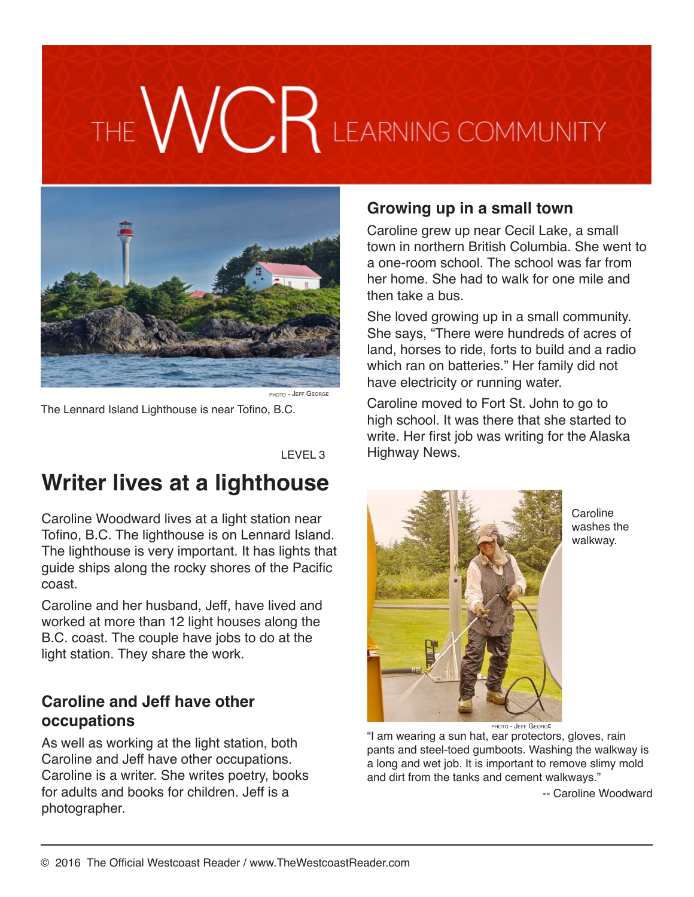# VCR LEARNING COMMUNITY



PHOTO - JEFF GEORGI

The Lennard Island Lighthouse is near Tofino, B.C.

LEVEL 3

# **Writer lives at a lighthouse**

Caroline Woodward lives at a light station near Tofino, B.C. The lighthouse is on Lennard Island. The lighthouse is very important. It has lights that guide ships along the rocky shores of the Pacific coast.

Caroline and her husband, Jeff, have lived and worked at more than 12 light houses along the B.C. coast. The couple have jobs to do at the light station. They share the work.

#### **Caroline and Jeff have other occupations**

As well as working at the light station, both Caroline and Jeff have other occupations. Caroline is a writer. She writes poetry, books for adults and books for children. Jeff is a photographer.

#### **Growing up in a small town**

Caroline grew up near Cecil Lake, a small town in northern British Columbia. She went to a one-room school. The school was far from her home. She had to walk for one mile and then take a bus.

She loved growing up in a small community. She says, "There were hundreds of acres of land, horses to ride, forts to build and a radio which ran on batteries." Her family did not have electricity or running water.

Caroline moved to Fort St. John to go to high school. It was there that she started to write. Her first job was writing for the Alaska Highway News.



Caroline washes the walkway.

photo - Jeff George

"I am wearing a sun hat, ear protectors, gloves, rain pants and steel-toed gumboots. Washing the walkway is a long and wet job. It is important to remove slimy mold and dirt from the tanks and cement walkways."

-- Caroline Woodward